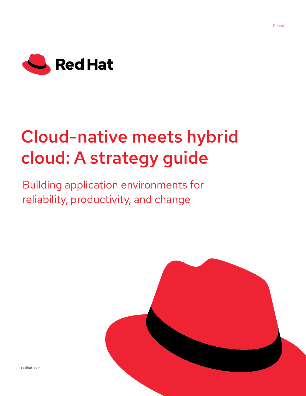

# Cloud-native meets hybrid cloud: A strategy guide

Building application environments for reliability, productivity, and change



[redhat.com](http://redhat.com)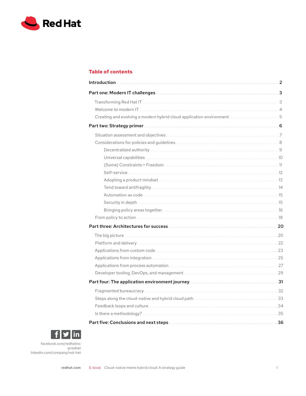

# **Table of contents**

| <b>Introduction</b> | 2 |
|---------------------|---|
|                     |   |
|                     |   |
|                     |   |
|                     |   |
|                     |   |
|                     |   |
|                     |   |
|                     |   |
|                     |   |
|                     |   |
|                     |   |
|                     |   |
|                     |   |
|                     |   |
|                     |   |
|                     |   |
|                     |   |
|                     |   |
|                     |   |
|                     |   |
|                     |   |
|                     |   |
|                     |   |
|                     |   |
|                     |   |
|                     |   |
|                     |   |
|                     |   |
|                     |   |
|                     |   |



facebook.com/redhatinc @redhat linkedin.com/company/red-hat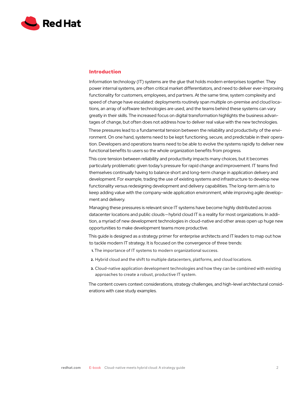<span id="page-2-0"></span>

# **Introduction**

Information technology (IT) systems are the glue that holds modern enterprises together. They power internal systems, are often critical market differentiators, and need to deliver ever-improving functionality for customers, employees, and partners. At the same time, system complexity and speed of change have escalated: deployments routinely span multiple on-premise and cloud locations, an array of software technologies are used, and the teams behind these systems can vary greatly in their skills. The increased focus on digital transformation highlights the business advantages of change, but often does not address how to deliver real value with the new technologies.

These pressures lead to a fundamental tension between the reliability and productivity of the environment. On one hand, systems need to be kept functioning, secure, and predictable in their operation. Developers and operations teams need to be able to evolve the systems rapidly to deliver new functional benefits to users so the whole organization benefits from progress.

This core tension between reliability and productivity impacts many choices, but it becomes particularly problematic given today's pressure for rapid change and improvement. IT teams find themselves continually having to balance short and long-term change in application delivery and development. For example, trading the use of existing systems and infrastructure to develop new functionality versus redesigning development and delivery capabilities. The long-term aim is to keep adding value with the company-wide application environment, while improving agile development and delivery.

Managing these pressures is relevant since IT systems have become highly distributed across datacenter locations and public clouds — hybrid cloud IT is a reality for most organizations. In addition, a myriad of new development technologies in cloud-native and other areas open up huge new opportunities to make development teams more productive.

This guide is designed as a strategy primer for enterprise architects and IT leaders to map out how to tackle modern IT strategy. It is focused on the convergence of three trends:

- **1.** The importance of IT systems to modern organizational success.
- **2.** Hybrid cloud and the shift to multiple datacenters, platforms, and cloud locations.
- **3.** Cloud-native application development technologies and how they can be combined with existing approaches to create a robust, productive IT system.

The content covers context considerations, strategy challenges, and high-level architectural considerations with case study examples.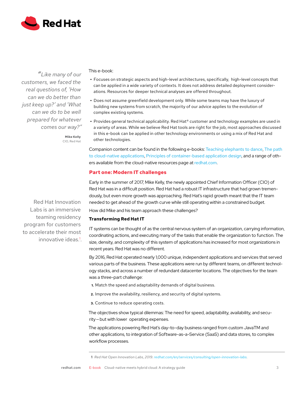<span id="page-3-0"></span>

*"Like many of our customers, we faced the real questions of, 'How can we do better than just keep up?' and 'What can we do to be well prepared for whatever comes our way?"*

> **Mike Kelly** CIO, Red Hat

This e-book:

- **•** Focuses on strategic aspects and high-level architectures, specifically, high-level concepts that can be applied in a wide variety of contexts. It does not address detailed deployment considerations. Resources for deeper technical analyses are offered throughout.
- **•** Does not assume greenfield development only. While some teams may have the luxury of building new systems from scratch, the majority of our advice applies to the evolution of complex existing systems.
- **•** Provides general technical applicability. Red Hat® customer and technology examples are used in a variety of areas. While we believe Red Hat tools are right for the job, most approaches discussed in this e-book can be applied in other technology environments or using a mix of Red Hat and other technologies.

Companion content can be found in the following e-books: [Teaching elephants to dance](https://www.redhat.com/en/resources/middleware-teaching-elephant-to-dance-ebook), [The path](https://www.redhat.com/en/resources/path-to-cloud-native-applications-ebook)  [to cloud-native applications](https://www.redhat.com/en/resources/path-to-cloud-native-applications-ebook), [Principles of container-based application design](https://www.redhat.com/en/resources/cloud-native-container-design-whitepaper), and a range of others available from the cloud-native resources page at [redhat.com](https://www.redhat.com/en/topics/cloud-native-apps).

# **Part one: Modern IT challenges**

Early in the summer of 2017, Mike Kelly, the newly appointed Chief Information Officer (CIO) of Red Hat was in a difficult position. Red Hat had a robust IT infrastructure that had grown tremendously, but even more growth was approaching. Red Hat's rapid growth meant that the IT team needed to get ahead of the growth curve while still operating within a constrained budget.

How did Mike and his team approach these challenges?

# **Transforming Red Hat IT**

IT systems can be thought of as the central nervous system of an organization, carrying information, coordinating actions, and executing many of the tasks that enable the organization to function. The size, density, and complexity of this system of applications has increased for most organizations in recent years. Red Hat was no different.

By 2016, Red Hat operated nearly 1,000 unique, independent applications and services that served various parts of the business. These applications were run by different teams, on different technology stacks, and across a number of redundant datacenter locations. The objectives for the team was a three-part challenge:

- **1.** Match the speed and adaptability demands of digital business.
- **2.** Improve the availability, resiliency, and security of digital systems.
- **3.** Continue to reduce operating costs.

The objectives show typical dilemmas: The need for speed, adaptability, availability, and security — but with lower operating expenses.

The applications powering Red Hat's day-to-day business ranged from custom JavaTM and other applications, to integration of Software-as-a-Service (SaaS) and data stores, to complex workflow processes.

Red Hat Innovation Labs is an immersive teaming residency program for customers to accelerate their most innovative ideas.<sup>1</sup>.

**<sup>1</sup>** *Red Hat Open Innovation Labs, 2019. [redhat.com/en/services/consulting/open-innovation-labs.](https://www.redhat.com/en/services/consulting/open-innovation-labs)*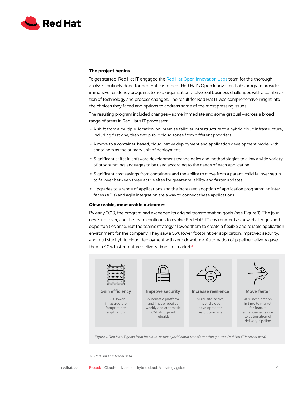

#### **The project begins**

To get started, Red Hat IT engaged the [Red Hat Open Innovation Labs](https://www.redhat.com/en/services/consulting/open-innovation-labs) team for the thorough analysis routinely done for Red Hat customers. Red Hat's Open Innovation Labs program provides immersive residency programs to help organizations solve real business challenges with a combination of technology and process changes. The result for Red Hat IT was comprehensive insight into the choices they faced and options to address some of the most pressing issues.

The resulting program included changes — some immediate and some gradual — across a broad range of areas in Red Hat's IT processes:

- **•** A shift from a multiple-location, on-premise failover infrastructure to a hybrid cloud infrastructure, including first one, then two public cloud zones from different providers.
- **•** A move to a container-based, cloud-native deployment and application development mode, with containers as the primary unit of deployment.
- **•** Significant shifts in software development technologies and methodologies to allow a wide variety of programming languages to be used according to the needs of each application.
- **•** Significant cost savings from containers and the ability to move from a parent-child failover setup to failover between three active sites for greater reliability and faster updates.
- **•** Upgrades to a range of applications and the increased adoption of application programming interfaces (APIs) and agile integration are a way to connect these applications.

#### **Observable, measurable outcomes**

By early 2019, the program had exceeded its original transformation goals (see Figure 1). The journey is not over, and the team continues to evolve Red Hat's IT environment as new challenges and opportunities arise. But the team's strategy allowed them to create a flexible and reliable application environment for the company. They saw a 55% lower footprint per application, improved security, and multisite hybrid cloud deployment with zero downtime. Automation of pipeline delivery gave them a 40% faster feature delivery time- to-market.<sup>2</sup>



#### Gain efficiency

-55% lower infrastructure footprint per application



#### Improve security

Automatic platform and image rebuilds weekly and automatic CVE-triggered rebuilds



Increase resilience

Multi-site-active, hybrid cloud development = zero downtime



Move faster

40% acceleration in time to market for feature enhancements due to automation of delivery pipeline

*Figure 1. Red Hat IT gains from its cloud-native hybrid cloud transformation (source Red Hat IT internal data)*

**<sup>2</sup>** *Red Hat IT internal data*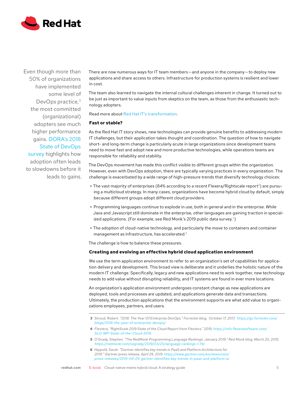

Even though more than 50% of organizations have implemented some level of DevOps practice,<sup>3</sup> the most committed (organizational) adopters see much higher performance gains. [DORA's 2018](https://www.prnewswire.com/news-releases/devops-research-and-assessment-dora-announces-the-2018-accelerate-state-of-devops-report-300703837.html)  [State of DevOps](https://www.prnewswire.com/news-releases/devops-research-and-assessment-dora-announces-the-2018-accelerate-state-of-devops-report-300703837.html)  [survey](https://www.prnewswire.com/news-releases/devops-research-and-assessment-dora-announces-the-2018-accelerate-state-of-devops-report-300703837.html) highlights how adoption often leads to slowdowns before it leads to gains.

There are now numerous ways for IT team members – and anyone in the company – to deploy new applications and share access to others. Infrastructure for production systems is resilient and lower in cost.

The team also learned to navigate the internal cultural challenges inherent in change. It turned out to be just as important to value inputs from skeptics on the team, as those from the enthusiastic technology adopters.

Read more about [Red Hat IT's transformation](https://www.redhat.com/en/about/red-hat-on-red-hat).

#### **Fast or stable?**

As the Red Hat IT story shows, new technologies can provide genuine benefits to addressing modern IT challenges, but their application takes thought and coordination. The question of how to navigate short- and long-term change is particularly acute in large organizations since development teams need to move fast and adopt new and more productive technologies, while operations teams are responsible for reliability and stability.

The DevOps movement has made this conflict visible to different groups within the organization. However, even with DevOps adoption, there are typically varying practices in every organization. The challenge is exacerbated by a wide range of high-pressure trends that diversify technology choices:

- The vast majority of enterprises (84% according to a recent Flexera/Rightscale report<sup>4</sup>) are pursuing a multicloud strategy. In many cases, organizations have become hybrid cloud by default, simply because different groups adopt different cloud providers.
- **•** Programming languages continue to explode in use, both in general and in the enterprise. While Java and Javascript still dominate in the enterprise, other languages are gaining traction in specialized applications. (For example, see Red Monk's 2019 public data survey.<sup>5</sup>)
- **•** The adoption of cloud-native technology, and particularly the move to containers and container management as infrastructure, has accelerated.<sup>6</sup>

The challenge is how to balance these pressures.

#### **Creating and evolving an effective hybrid cloud application environment**

We use the term application environment to refer to an organization's set of capabilities for application delivery and development. This broad view is deliberate and it underlies the holistic nature of the modern IT challenge. Specifically, legacy and new applications need to work together, new technology needs to add value without disrupting reliability, and IT systems are found in ever more locations.

An organization's application environment undergoes constant change as new applications are deployed, tools and processes are updated, and applications generate data and transactions. Ultimately, the production applications that the environment supports are what add value to organizations employees, partners, and users.

**6** *Hippold, Sarah. "Gartner identifies key trends in PaaS and Platform Architecture for 2019." Gartner press release, April 29, 2019. [https://www.gartner.com/en/newsroom/](https://www.gartner.com/en/newsroom/press-releases/2019-04-29-gartner-identifies-key-trends-in-paas-) [press-releases/2019-04-29-gartner-identifies-key-trends-in-paas-and-platform-ar](https://www.gartner.com/en/newsroom/press-releases/2019-04-29-gartner-identifies-key-trends-in-paas-)*

**<sup>3</sup>** *Stroud, Robert. "2018: The Year Of Enterprise DevOps." Forrester blog, October 17, 2017, [https://go.forrester.com/](https://go.forrester.com/blogs/2018-the-year-of-enterprise-devops/) [blogs/2018-the-year-of-enterprise-devops/](https://go.forrester.com/blogs/2018-the-year-of-enterprise-devops/).* 

**<sup>4</sup>** *Flextera, "RightScale 2019 State of the Cloud Report from Flextera." 2019, [https://info.flexerasoftware.com/](https://info.flexerasoftware.com/SLO-WP-State-of-the-Cloud-2019) [SLO-WP-State-of-the-Cloud-2019.](https://info.flexerasoftware.com/SLO-WP-State-of-the-Cloud-2019)*

**<sup>5</sup>** *O'Grady, Stephen. "The RedMonk Programming Language Rankings: January 2019." Red Monk blog, March 20, 2019, <https://redmonk.com/sogrady/2019/03/20/language-rankings-1-19/>.*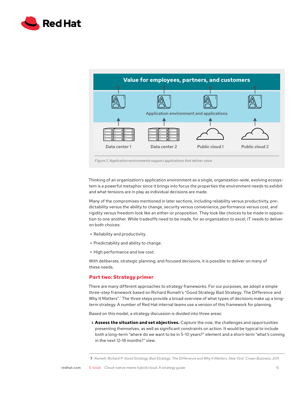<span id="page-6-0"></span>



*Figure 2. Application environments support applications that deliver value*

Thinking of an organization's application environment as a single, organization-wide, evolving ecosystem is a powerful metaphor since it brings into focus the properties the environment needs to exhibit and what tensions are in play as individual decisions are made.

Many of the compromises mentioned in later sections, including reliability versus productivity, predictability versus the ability to change, security versus convenience, performance versus cost, and rigidity versus freedom look like an either-or proposition. They look like choices to be made in opposition to one another. While tradeoffs need to be made, for an organization to excel, IT needs to deliver on both choices:

- **•** Reliability and productivity.
- **•** Predictability and ability to change.
- **•** High performance and low cost.

With deliberate, strategic planning, and focused decisions, it is possible to deliver on many of these needs.

# **Part two: Strategy primer**

There are many different approaches to strategy frameworks. For our purposes, we adopt a simple three-step framework based on Richard Rumelt's "Good Strategy Bad Strategy: The Difference and Why It Matters".<sup>7</sup> The three steps provide a broad overview of what types of decisions make up a longterm strategy. A number of Red Hat internal teams use a version of this framework for planning.

Based on this model, a strategy discussion is divided into three areas:

**1. Assess the situation and set objectives.** Capture the now, the challenges and opportunities presenting themselves, as well as significant constraints on action. It would be typical to include both a long-term "where do we want to be in 5-10 years?" element and a short-term "what's coming in the next 12-18 months?" view.

**<sup>7</sup>** *Rumelt, Richard P. Good Strategy, Bad Strategy: The Difference and Why It Matters. New York: Crown Business, 2011.*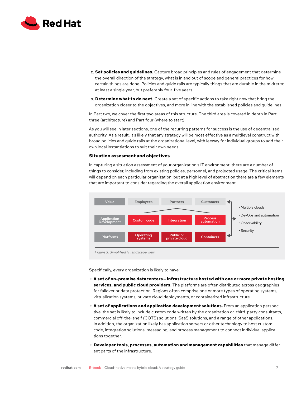<span id="page-7-0"></span>

- **2. Set policies and guidelines.** Capture broad principles and rules of engagement that determine the overall direction of the strategy, what is in and out of scope and general practices for how certain things are done. Policies and guide rails are typically things that are durable in the midterm: at least a single year, but preferably four-five years.
- **3. Determine what to do next.** Create a set of specific actions to take right now that bring the organization closer to the objectives, and more in line with the established policies and guidelines.

In Part two, we cover the first two areas of this structure. The third area is covered in depth in Part three (architecture) and Part four (where to start).

As you will see in later sections, one of the recurring patterns for success is the use of decentralized authority. As a result, it's likely that any strategy will be most effective as a multilevel construct with broad policies and guide rails at the organizational level, with leeway for individual groups to add their own local instantiations to suit their own needs.

#### **Situation assesment and objectives**

In capturing a situation assessment of your organization's IT environment, there are a number of things to consider, including from existing policies, personnel, and projected usage. The critical items will depend on each particular organization, but at a high level of abstraction there are a few elements that are important to consider regarding the overall application environment.



Specifically, every organization is likely to have:

- **• A set of on-premise datacenters — infrastructure hosted with one or more private hosting services, and public cloud providers.** The platforms are often distributed across geographies for failover or data protection. Regions often comprise one or more types of operating systems, virtualization systems, private cloud deployments, or containerized infrastructure.
- **• A set of applications and application development solutions.** From an application perspective, the set is likely to include custom code written by the organization or third-party consultants, commercial off-the-shelf (COTS) solutions, SaaS solutions, and a range of other applications. In addition, the organization likely has application servers or other technology to host custom code, integration solutions, messaging, and process management to connect individual applications together.
- **• Developer tools, processes, automation and management capabilities** that manage different parts of the infrastructure.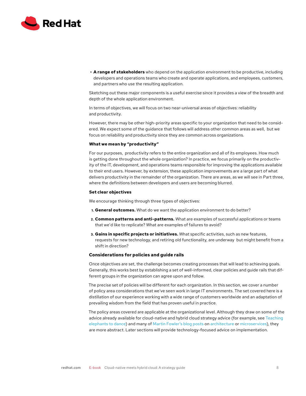<span id="page-8-0"></span>

**• A range of stakeholders** who depend on the application environment to be productive, including developers and operations teams who create and operate applications, and employees, customers, and partners who use the resulting application.

Sketching out these major components is a useful exercise since it provides a view of the breadth and depth of the whole application environment.

In terms of objectives, we will focus on two near-universal areas of objectives: reliability and productivity.

However, there may be other high-priority areas specific to your organization that need to be considered. We expect some of the guidance that follows will address other common areas as well, but we focus on reliability and productivity since they are common across organizations.

#### **What we mean by "productivity"**

For our purposes, productivity refers to the entire organization and all of its employees. How much is getting done throughout the whole organization? In practice, we focus primarily on the productivity of the IT, development, and operations teams responsible for improving the applications available to their end users. However, by extension, these application improvements are a large part of what delivers productivity in the remainder of the organization. There are areas, as we will see in Part three, where the definitions between developers and users are becoming blurred.

#### **Set clear objectives**

We encourage thinking through three types of objectives:

- **1. General outcomes.** What do we want the application environment to do better?
- **2. Common patterns and anti-patterns.** What are examples of successful applications or teams that we'd like to replicate? What are examples of failures to avoid?
- **3. Gains in specific projects or initiatives.** What specific activities, such as new features, requests for new technology, and retiring old functionality, are underway but might benefit from a shift in direction?

#### **Considerations for policies and guide rails**

Once objectives are set, the challenge becomes creating processes that will lead to achieving goals. Generally, this works best by establishing a set of well-informed, clear policies and guide rails that different groups in the organization can agree upon and follow.

The precise set of policies will be different for each organization. In this section, we cover a number of policy area considerations that we've seen work in large IT environments. The set covered here is a distillation of our experience working with a wide range of customers worldwide and an adaptation of prevailing wisdom from the field that has proven useful in practice.

The policy areas covered are applicable at the organizational level. Although they draw on some of the advice already available for cloud-native and hybrid cloud strategy advice (for example, see Teaching [elephants to dance](https://www.redhat.com/en/resources/middleware-teaching-elephant-to-dance-ebook)) and many of [Martin Fowler's blog posts](https://martinfowler.com/) on [architecture](https://martinfowler.com/architecture/) or [microservices\)](https://martinfowler.com/microservices/), they are more abstract. Later sections will provide technology-focused advice on implementation.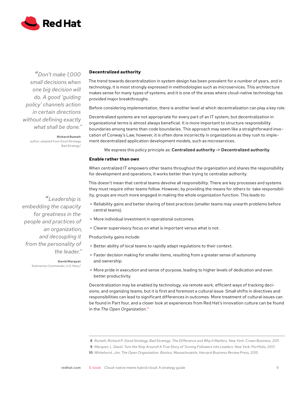<span id="page-9-0"></span>

*"Don't make 1,000 small decisions when one big decision will do. A good 'guiding policy' channels action in certain directions without defining exactly what shall be done."*

> **Richard Rumelt** author, adapted from Good Strategy, Bad Strategy8

#### **Decentralized authority**

The trend towards decentralization in system design has been prevalent for a number of years, and in technology, it is most strongly expressed in methodologies such as microservices. This architecture makes sense for many types of systems, and it is one of the areas where cloud-native technology has provided major breakthroughs.

Before considering implementation, there is another level at which decentralization can play a key role.

Decentralized systems are not appropriate for every part of an IT system, but decentralization in organizational terms is almost always beneficial. It is more important to structure responsibility boundaries among teams than code boundaries. This approach may seem like a straightforward invocation of Conway's Law; however, it is often done incorrectly in organizations as they rush to implement decentralized application development models, such as microservices.

We express this policy principle as: Centralized authority -> Decentralized authority.

#### **Enable rather than own**

When centralized IT empowers other teams throughout the organization and shares the responsibility for development and operations, it works better than trying to centralize authority.

This doesn't mean that central teams devolve all responsibility. There are key processes and systems they must require other teams follow. However, by providing the means for others to take responsibility, groups are much more engaged in making the whole organization function. This leads to:

- **•** Reliability gains and better sharing of best practices (smaller teams may unearth problems before central teams).
- **•** More individual investment in operational outcomes.
- **•** Clearer supervisory focus on what is important versus what is not.

Productivity gains include:

- **•** Better ability of local teams to rapidly adapt regulations to their context.
- **•** Faster decision making for smaller items, resulting from a greater sense of autonomy and ownership.
- **•** More pride in execution and sense of purpose, leading to higher levels of dedication and even better productivity.

Decentralization may be enabled by technology, via remote work, efficient ways of tracking decisions, and organizing teams, but it is first and foremost a cultural issue. Small shifts in directives and responsibilities can lead to significant differences in outcomes. More treatment of cultural issues can be found in Part four, and a closer look at experiences from Red Hat's innovation culture can be found in the *The Open Organization*. 10

- **8** *Rumelt, Richard P. Good Strategy, Bad Strategy: The Difference and Why It Matters. New York: Crown Business, 2011.*
- **9** *Marquet, L. David. Turn the Ship Around! A True Story of Turning Followers into Leaders. New York: Portfolio, 2013*
- **10** *Whitehurst, Jim, The Open Organization. Boston, Massachusetts: Harvard Business Review Press, 2015.*

[redhat.com](http://linkedin.com/company/red) E-book Cloud-native meets hybrid cloud: A strategy guide 9

*"Leadership is embedding the capacity for greatness in the people and practices of an organization, and decoupling it from the personality of the leader."*

**David Marquet**

Submarine Commander, U.S. Navy9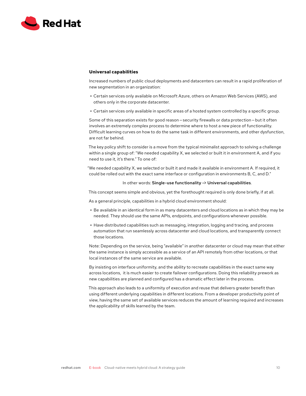<span id="page-10-0"></span>

#### **Universal capabilities**

Increased numbers of public cloud deployments and datacenters can result in a rapid proliferation of new segmentation in an organization:

- **•** Certain services only available on Microsoft Azure, others on Amazon Web Services (AWS), and others only in the corporate datacenter.
- **•** Certain services only available in specific areas of a hosted system controlled by a specific group.

Some of this separation exists for good reason – security firewalls or data protection – but it often involves an extremely complex process to determine where to host a new piece of functionality. Difficult learning curves on how to do the same task in different environments, and other dysfunction, are not far behind.

The key policy shift to consider is a move from the typical minimalist approach to solving a challenge within a single group of: "We needed capability X, we selected or built it in environment A, and if you need to use it, it's there." To one of:

"We needed capability X, we selected or built it and made it available in environment A. If required, it could be rolled out with the exact same interface or configuration in environments B, C, and D."

#### In other words: Single-use functionality -> Universal capabilities.

This concept seems simple and obvious, yet the forethought required is only done briefly, if at all.

As a general principle, capabilities in a hybrid cloud environment should:

- **•** Be available in an identical form in as many datacenters and cloud locations as in which they may be needed. They should use the same APIs, endpoints, and configurations whenever possible.
- **•** Have distributed capabilities such as messaging, integration, logging and tracing, and process automation that run seamlessly across datacenter and cloud locations, and transparently connect those locations.

Note: Depending on the service, being "available" in another datacenter or cloud may mean that either the same instance is simply accessible as a service of an API remotely from other locations, or that local instances of the same service are available.

By insisting on interface uniformity, and the ability to recreate capabilities in the exact same way across locations, it is much easier to create failover configurations. Doing this reliability prework as new capabilities are planned and configured has a dramatic effect later in the process.

This approach also leads to a uniformity of execution and reuse that delivers greater benefit than using different underlying capabilities in different locations. From a developer productivity point of view, having the same set of available services reduces the amount of learning required and increases the applicability of skills learned by the team.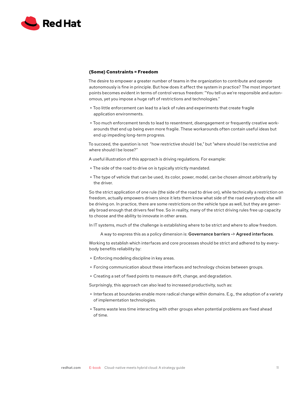<span id="page-11-0"></span>

#### **(Some) Constraints = Freedom**

The desire to empower a greater number of teams in the organization to contribute and operate autonomously is fine in principle. But how does it affect the system in practice? The most important points becomes evident in terms of control versus freedom: "You tell us we're responsible and autonomous, yet you impose a huge raft of restrictions and technologies."

- **•** Too little enforcement can lead to a lack of rules and experiments that create fragile application environments.
- **•** Too much enforcement tends to lead to resentment, disengagement or frequently creative workarounds that end up being even more fragile. These workarounds often contain useful ideas but end up impeding long-term progress.

To succeed, the question is not "how restrictive should I be," but "where should I be restrictive and where should I be loose?"

A useful illustration of this approach is driving regulations. For example:

- **•** The side of the road to drive on is typically strictly mandated.
- **•** The type of vehicle that can be used, its color, power, model, can be chosen almost arbitrarily by the driver.

So the strict application of one rule (the side of the road to drive on), while technically a restriction on freedom, actually empowers drivers since it lets them know what side of the road everybody else will be driving on. In practice, there are some restrictions on the vehicle type as well, but they are generally broad enough that drivers feel free. So in reality, many of the strict driving rules free up capacity to choose and the ability to innovate in other areas.

In IT systems, much of the challenge is establishing where to be strict and where to allow freedom.

A way to express this as a policy dimension is: Governance barriers -> Agreed interfaces.

Working to establish which interfaces and core processes should be strict and adhered to by everybody benefits reliability by:

- **•** Enforcing modeling discipline in key areas.
- **•** Forcing communication about these interfaces and technology choices between groups.
- **•** Creating a set of fixed points to measure drift, change, and degradation.

Surprisingly, this approach can also lead to increased productivity, such as:

- **•** Interfaces at boundaries enable more radical change within domains. E.g., the adoption of a variety of implementation technologies.
- **•** Teams waste less time interacting with other groups when potential problems are fixed ahead of time.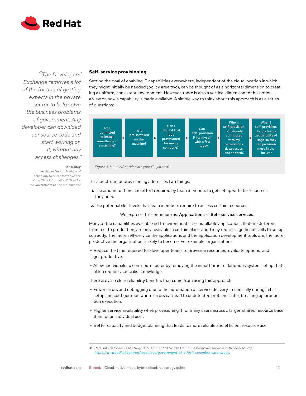<span id="page-12-0"></span>

*"The Developers' Exchange removes a lot of the friction of getting experts in the private sector to help solve the business problems of government. Any developer can download our source code and start working on it, without any access challenges."*

**Ian Bailey**

Assistant Deputy Minister of Technology Services for the Office of the Chief Information Officer for the Government of British Columbia<sup>1</sup>

#### **Self-service provisioning**

Setting the goal of enabling IT capabilities everywhere, independent of the cloud location in which they might initially be needed (policy area two), can be thought of as a horizontal dimension to creating a uniform, consistent environment. However, there is also a vertical dimension to this notion a view on how a capability is made available. A simple way to think about this approach is as a series of questions:



*Figure 4. How self-service are your IT systems?*

This spectrum for provisioning addresses two things:

- **1.** The amount of time and effort required by team members to get set up with the resources they need.
- **2.** The potential skill levels that team members require to access certain resources.

#### We express this continuum as: Applications -> Self-service services.

Many of the capabilities available in IT environments are installable applications that are different from test to production, are only available in certain places, and may require significant skills to set up correctly. The more self-service the applications and the application development tools are, the more productive the organization is likely to become. For example, organizations:

- **•** Reduce the time required for developer teams to provision resources, evaluate options, and get productive.
- **•** Allow individuals to contribute faster by removing the initial barrier of laborious system set up that often requires specialist knowledge.

There are also clear reliability benefits that come from using this approach:

- Fewer errors and debugging due to the automation of service delivery especially during initial setup and configuration where errors can lead to undetected problems later, breaking up production execution.
- **•** Higher service availability when provisioning if for many users across a larger, shared resource base than for an individual user.
- **•** Better capacity and budget planning that leads to more reliable and efficient resource use.

**<sup>11</sup>** *Red Hat customer case study, "Government of British Columbia improves services with open source." [https://www.redhat.com/en/resources/government-of-british-columbia-case-study.](https://www.redhat.com/en/resources/government-of-british-columbia-case-study)*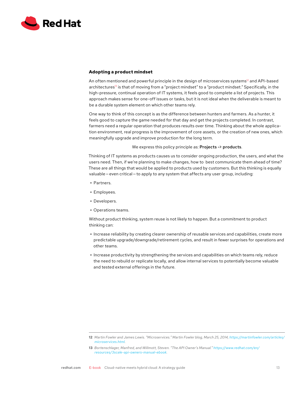<span id="page-13-0"></span>

#### **Adopting a product mindset**

An often mentioned and powerful principle in the design of microservices systems<sup>12</sup> and API-based architectures<sup>13</sup> is that of moving from a "project mindset" to a "product mindset." Specifically, in the high-pressure, continual operation of IT systems, it feels good to complete a list of projects. This approach makes sense for one-off issues or tasks, but it is not ideal when the deliverable is meant to be a durable system element on which other teams rely.

One way to think of this concept is as the difference between hunters and farmers. As a hunter, it feels good to capture the game needed for that day and get the projects completed. In contrast, farmers need a regular operation that produces results over time. Thinking about the whole application environment, real progress is the improvement of core assets, or the creation of new ones, which meaningfully upgrade and improve production for the long term.

#### We express this policy principle as: Projects -> products.

Thinking of IT systems as products causes us to consider ongoing production, the users, and what the users need. Then, if we're planning to make changes, how to best communicate them ahead of time? These are all things that would be applied to products used by customers. But this thinking is equally valuable – even critical – to apply to any system that affects any user group, including:

- **•** Partners.
- **•** Employees.
- **•** Developers.
- **•** Operations teams.

Without product thinking, system reuse is not likely to happen. But a commitment to product thinking can:

- **•** Increase reliability by creating clearer ownership of reusable services and capabilities, create more predictable upgrade/downgrade/retirement cycles, and result in fewer surprises for operations and other teams.
- **•** Increase productivity by strengthening the services and capabilities on which teams rely, reduce the need to rebuild or replicate locally, and allow internal services to potentially become valuable and tested external offerings in the future.

**<sup>12</sup>** *Martin Fowler and James Lewis. "Microservices." Martin Fowler blog, March 25, 2014, [https://martinfowler.com/articles/](https://martinfowler.com/articles/microservices.html) [microservices.html.](https://martinfowler.com/articles/microservices.html)*

**<sup>13</sup>** *Bortenschlager, Manfred, and Willmott, Steven. "The API Owner's Manual." [https://www.redhat.com/en/](https://www.redhat.com/en/resources/3scale-api-owners-manual-ebook) [resources/3scale-api-owners-manual-ebook](https://www.redhat.com/en/resources/3scale-api-owners-manual-ebook).*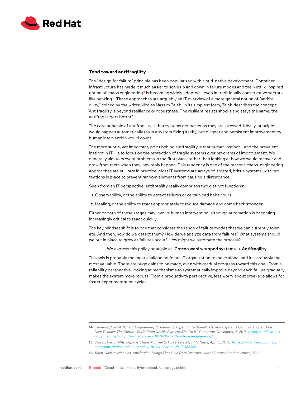<span id="page-14-0"></span>

#### **Tend toward antifragility**

The "design for failure" principle has been popularized with cloud-native development. Container infrastructure has made it much easier to scale up and down in failure modes and the Netflix-inspired notion of chaos engineering<sup>14</sup> is becoming widely adopted – even in traditionally conservative sectors like banking.<sup>15</sup> These approaches are arguably an IT overview of a more general notion of "antifragility," coined by the writer Nicolas Nassim Taleb. In its simplest form, Taleb describes the concept: "Antifragility is beyond resilience or robustness. The resilient resists shocks and stays the same; the antifragile gets better."16

The core principle of antifragility is that systems get better as they are stressed. Ideally, principle would happen automatically (as in a system fixing itself), but diligent and persistent improvement by human intervention would count.

The more subtle, yet important, point behind antifragility is that human instinct - and the prevalent instinct in IT— is to focus on the protection of fragile systems over programs of improvement. We generally aim to prevent problems in the first place, rather than looking at how we would recover and grow from them when they inevitably happen. This tendency is one of the reasons chaos-engineering approaches are still rare in practice. Most IT systems are arrays of isolated, brittle systems, with protections in place to prevent random elements from causing a disturbance.

Seen from an IT perspective, antifragility really comprises two distinct functions:

**1.** Observability, or the ability to detect failures or certain bad behaviours.

**2.** Healing, or the ability to react appropriately to reduce damage and come back stronger.

Either or both of these stages may involve human intervention, although automation is becoming increasingly critical to react quickly.

The key mindset shift is to one that considers the range of failure modes that we can currently tolerate. And then, how do we detect them? How de we analyze data from failures? What systems should we put in place to grow as failures occur? How might we automate the process?

We express this policy principle as: Cotton wool wrapped systems -> Antifragility.

This axis is probably the most challenging for an IT organization to move along, and it is arguably the most valuable. There are huge gains to be made, even with gradual progress toward this goal. From a reliability perspective, looking at mechanisms to systematically improve beyond each failure gradually makes the system more robust. From a productivity perspective, less worry about breakage allows for faster experimentation cycles.

**<sup>14</sup>** *Cameron, Lori M. "Chaos Engineering: It Sounds Scary, But Intentionally Harming Systems Can Find Bigger Bugs. How To Make The Cultural Shift, From Netflix Experts Who Do It." Computer, November 15, 2018. [https://publications.](https://publications.computer.org/computer-magazine/2018/11/15/netlfix-chaos-engineering/) [computer.org/computer-magazine/2018/11/15/netlfix-chaos-engineering/.](https://publications.computer.org/computer-magazine/2018/11/15/netlfix-chaos-engineering/)* 

**<sup>15</sup>** *Cowan, Paris. "NAB deploys Chaos Monkey to kill servers 24/7." IT News, April 9, 2014, [https://www.itnews.com.au/](https://www.itnews.com.au/news/nab-deploys-chaos-monkey-to-kill-servers-24-7-382285) [news/nab-deploys-chaos-monkey-to-kill-servers-24-7-382285](https://www.itnews.com.au/news/nab-deploys-chaos-monkey-to-kill-servers-24-7-382285).*

**<sup>16</sup>** *Taleb, Nassim Nicholas. Antifragile: Things That Gain from Disorder. United States: Random House, 2012.*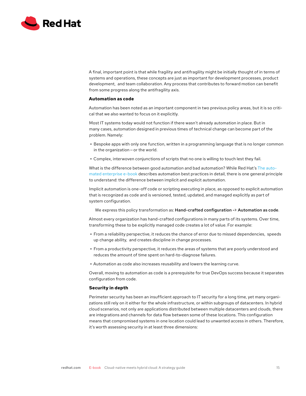<span id="page-15-0"></span>

A final, important point is that while fragility and antifragility might be initially thought of in terms of systems and operations, these concepts are just as important for development processes, product development, and team collaboration. Any process that contributes to forward motion can benefit from some progress along the antifragility axis.

#### **Automation as code**

Automation has been noted as an important component in two previous policy areas, but it is so critical that we also wanted to focus on it explicitly.

Most IT systems today would not function if there wasn't already automation in place. But in many cases, automation designed in previous times of technical change can become part of the problem. Namely:

- **•** Bespoke apps with only one function, written in a programming language that is no longer common in the organization $-$ or the world.
- **•** Complex, interwoven conjunctions of scripts that no one is willing to touch lest they fail.

What is the difference between good automation and bad automation? While Red Hat's [The auto](https://www.redhat.com/en/solutions/it-automation)[mated enterprise e-book](https://www.redhat.com/en/solutions/it-automation) describes automation best practices in detail, there is one general principle to understand: the difference between implicit and explicit automation.

Implicit automation is one-off code or scripting executing in place, as opposed to explicit automation that is recognized as code and is versioned, tested, updated, and managed explicitly as part of system configuration.

We express this policy transformation as: Hand-crafted configuration -> Automation as code.

Almost every organization has hand-crafted configurations in many parts of its systems. Over time, transforming these to be explicitly managed code creates a lot of value. For example:

- **•** From a reliability perspective, it reduces the chance of error due to missed dependencies, speeds up change ability, and creates discipline in change processes.
- **•** From a productivity perspective, it reduces the areas of systems that are poorly understood and reduces the amount of time spent on hard-to-diagnose failures.
- **•** Automation as code also increases reusability and lowers the learning curve.

Overall, moving to automation as code is a prerequisite for true DevOps success because it separates configuration from code.

#### **Security in depth**

Perimeter security has been an insufficient approach to IT security for a long time, yet many organizations still rely on it either for the whole infrastructure, or within subgroups of datacenters. In hybrid cloud scenarios, not only are applications distributed between multiple datacenters and clouds, there are integrations and channels for data flow between some of these locations. This configuration means that compromised systems in one location could lead to unwanted access in others. Therefore, it's worth assessing security in at least three dimensions: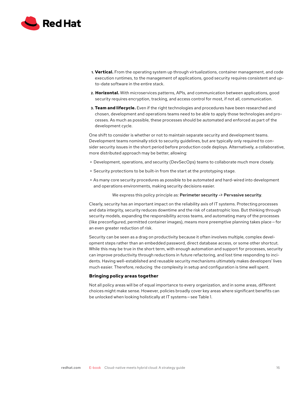<span id="page-16-0"></span>

- **1. Vertical.** From the operating system up through virtualizations, container management, and code execution runtimes, to the management of applications, good security requires consistent and upto-date software in the entire stack.
- **2. Horizontal.** With microservices patterns, APIs, and communication between applications, good security requires encryption, tracking, and access control for most, if not all, communication.
- **3. Team and lifecycle.** Even if the right technologies and procedures have been researched and chosen, development and operations teams need to be able to apply those technologies and processes. As much as possible, these processes should be automated and enforced as part of the development cycle.

One shift to consider is whether or not to maintain separate security and development teams. Development teams nominally stick to security guidelines, but are typically only required to consider security issues in the short period before production code deploys. Alternatively, a collaborative, more distributed approach may be better, allowing:

- **•** Development, operations, and security (DevSecOps) teams to collaborate much more closely.
- **•** Security protections to be built-in from the start at the prototyping stage.
- **•** As many core security procedures as possible to be automated and hard-wired into development and operations environments, making security decisions easier.

We express this policy principle as: Perimeter security -> Pervasive security.

Clearly, security has an important impact on the reliability axis of IT systems. Protecting processes and data integrity, security reduces downtime and the risk of catastrophic loss. But thinking through security models, expanding the responsibility across teams, and automating many of the processes (like preconfigured, permitted container images), means more preemptive planning takes place — for an even greater reduction of risk.

Security can be seen as a drag on productivity because it often involves multiple, complex development steps rather than an embedded password, direct database access, or some other shortcut. While this may be true in the short term, with enough automation and support for processes, security can improve productivity through reductions in future refactoring, and lost time responding to incidents. Having well-established and reusable security mechanisms ultimately makes developers' lives much easier. Therefore, reducing the complexity in setup and configuration is time well spent.

#### **Bringing policy areas together**

Not all policy areas will be of equal importance to every organization, and in some areas, different choices might make sense. However, policies broadly cover key areas where significant benefits can be unlocked when looking holistically at IT systems — see Table 1.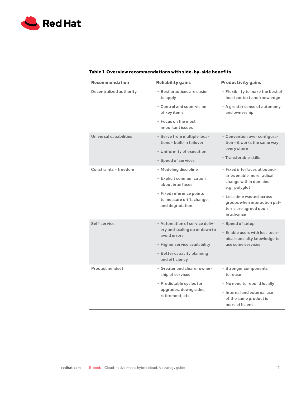

# **Table 1. Overview recommendations with side-by-side benefits**

| <b>Recommendation</b>   | <b>Reliability gains</b>                                                                                                                                         | <b>Productivity gains</b>                                                                                                                                                                   |
|-------------------------|------------------------------------------------------------------------------------------------------------------------------------------------------------------|---------------------------------------------------------------------------------------------------------------------------------------------------------------------------------------------|
| Decentralized authority | • Best practices are easier<br>to apply                                                                                                                          | • Flexibility to make the best of<br>local context and knowledge                                                                                                                            |
|                         | • Control and supervision<br>of key items                                                                                                                        | • A greater sense of autonomy<br>and ownership                                                                                                                                              |
|                         | • Focus on the most<br>important issues                                                                                                                          |                                                                                                                                                                                             |
| Universal capabilities  | · Serve from multiple loca-<br>tions-built-in failover                                                                                                           | • Convention over configura-<br>tion-it works the same way                                                                                                                                  |
|                         | • Uniformity of execution<br>• Speed of services                                                                                                                 | everywhere<br>• Transferable skills                                                                                                                                                         |
| Constraints = freedom   | • Modeling discipline<br>• Explicit communication<br>about interfaces<br>• Fixed reference points<br>to measure drift, change,<br>and degradation                | · Fixed interfaces at bound-<br>aries enable more radical<br>change within domains-<br>e.g., polyglot<br>• Less time wasted across<br>groups when interaction pat-<br>terns are agreed upon |
| Self-service            | . Automation of service deliv-<br>ery and scaling up or down to<br>avoid errors<br>· Higher service availability<br>• Better capacity planning<br>and efficiency | in advance<br>· Speed of setup<br>. Enable users with less tech-<br>nical specialty knowledge to<br>use some services                                                                       |
| Product mindset         | • Greater and clearer owner-<br>ship of services<br>• Predictable cycles for                                                                                     | · Stronger components<br>to reuse<br>• No need to rebuild locally                                                                                                                           |
|                         | upgrades, downgrades,<br>retirement, etc.                                                                                                                        | . Internal and external use<br>of the same product is<br>more efficient                                                                                                                     |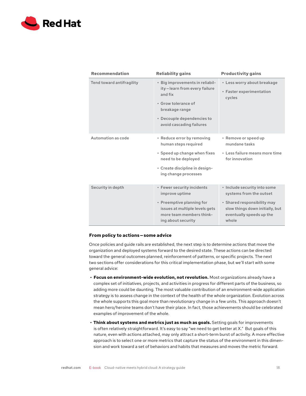<span id="page-18-0"></span>

| <b>Recommendation</b>     | <b>Reliability gains</b>                                                                                                                                                      | <b>Productivity gains</b>                                                                                                                                      |
|---------------------------|-------------------------------------------------------------------------------------------------------------------------------------------------------------------------------|----------------------------------------------------------------------------------------------------------------------------------------------------------------|
| Tend toward antifragility | · Big improvements in reliabil-<br>ity-learn from every failure<br>and fix<br>• Grow tolerance of<br>breakage range<br>• Decouple dependencies to<br>avoid cascading failures | • Less worry about breakage<br>• Faster experimentation<br>cycles                                                                                              |
| Automation as code        | • Reduce error by removing<br>human steps required<br>• Speed up change when fixes<br>need to be deployed<br>• Create discipline in design-<br>ing change processes           | • Remove or speed up<br>mundane tasks<br>• Less failure means more time<br>for innovation                                                                      |
| Security in depth         | • Fewer security incidents<br>improve uptime<br>• Preemptive planning for<br>issues at multiple levels gets<br>more team members think-<br>ing about security                 | · Include security into some<br>systems from the outset<br>· Shared responsibility may<br>slow things down initially, but<br>eventually speeds up the<br>whole |

#### **From policy to actions — some advice**

Once policies and guide rails are established, the next step is to determine actions that move the organization and deployed systems forward to the desired state. These actions can be directed toward the general outcomes planned, reinforcement of patterns, or specific projects. The next two sections offer considerations for this critical implementation phase, but we'll start with some general advice:

- **• Focus on environment-wide evolution, not revolution.** Most organizations already have a complex set of initiatives, projects, and activities in progress for different parts of the business, so adding more could be daunting. The most valuable contribution of an environment-wide application strategy is to assess change in the context of the health of the whole organization. Evolution across the whole supports this goal more than revolutionary change in a few units. This approach doesn't mean hero/heroine teams don't have their place. In fact, those achievements should be celebrated examples of improvement of the whole.
- **• Think about systems and metrics just as much as goals.** Setting goals for improvements is often relatively straightforward. It's easy to say "we need to get better at X." But goals of this nature, even with actions attached, may only attract a short-term burst of activity. A more effective approach is to select one or more metrics that capture the status of the environment in this dimension and work toward a set of behaviors and habits that measures and moves the metric forward.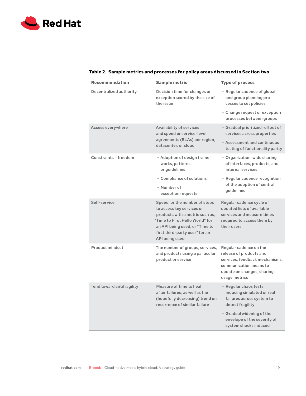

| Recommendation               | <b>Sample metric</b>                                                                                                                                                                                                   | <b>Type of process</b>                                                                                                                                                                    |
|------------------------------|------------------------------------------------------------------------------------------------------------------------------------------------------------------------------------------------------------------------|-------------------------------------------------------------------------------------------------------------------------------------------------------------------------------------------|
| Decentralized authority      | Decision time for changes or<br>exception scored by the size of<br>the issue                                                                                                                                           | • Regular cadence of global<br>and group planning pro-<br>cesses to set policies                                                                                                          |
|                              |                                                                                                                                                                                                                        | • Change request or exception<br>processes between groups                                                                                                                                 |
| Access everywhere            | Availability of services<br>and speed or service-level<br>agreements (SLAs) per region,<br>datacenter, or cloud                                                                                                        | • Gradual prioritized roll out of<br>services across properties                                                                                                                           |
|                              |                                                                                                                                                                                                                        | . Assessment and continuous<br>testing of functionality parity                                                                                                                            |
| <b>Constraints = freedom</b> | • Adoption of design frame-<br>works, patterns.<br>or guidelines                                                                                                                                                       | • Organization-wide sharing<br>of interfaces, products, and<br>internal services                                                                                                          |
|                              | • Compliance of solutions<br>• Number of<br>exception requests                                                                                                                                                         | • Regular cadence recognition<br>of the adoption of central<br>quidelines                                                                                                                 |
| Self-service                 | Speed, or the number of steps<br>to access key services or<br>products with a metric such as,<br>"Time to First Hello World" for<br>an API being used, or "Time to<br>first third-party user" for an<br>API being used | Regular cadence cycle of<br>updated lists of available<br>services and measure times<br>required to access them by<br>their users                                                         |
| Product mindset              | The number of groups, services,<br>and products using a particular<br>product or service                                                                                                                               | Regular cadence on the<br>release of products and<br>services, feedback mechanisms,<br>communication means to<br>update on changes, sharing<br>usage metrics                              |
| Tend toward antifragility    | Measure of time to heal<br>after failures, as well as the<br>(hopefully decreasing) trend on<br>recurrence of similar failure                                                                                          | • Regular chaos tests<br>inducing simulated or real<br>failures across system to<br>detect fragility<br>• Gradual widening of the<br>envelope of the severity of<br>system shocks induced |

# **Table 2. Sample metrics and processes for policy areas discussed in Section two**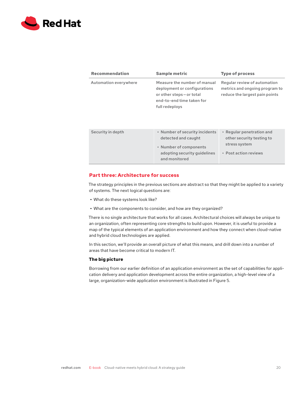<span id="page-20-0"></span>

| <b>Recommendation</b> | <b>Sample metric</b>                                                                                                                   | <b>Type of process</b>                                                                           |
|-----------------------|----------------------------------------------------------------------------------------------------------------------------------------|--------------------------------------------------------------------------------------------------|
| Automation everywhere | Measure the number of manual<br>deployment or configurations<br>or other steps-or total<br>end-to-end time taken for<br>full redeploys | Regular review of automation<br>metrics and ongoing program to<br>reduce the largest pain points |
| Security in depth     | • Number of security incidents<br>detected and caught<br>• Number of components<br>adopting security guidelines<br>and monitored       | • Regular penetration and<br>other security testing to<br>stress system<br>• Post action reviews |

#### **Part three: Architecture for success**

The strategy principles in the previous sections are abstract so that they might be applied to a variety of systems. The next logical questions are:

- **•** What do these systems look like?
- **•** What are the components to consider, and how are they organized?

There is no single architecture that works for all cases. Architectural choices will always be unique to an organization, often representing core strengths to build upon. However, it is useful to provide a map of the typical elements of an application environment and how they connect when cloud-native and hybrid cloud technologies are applied.

In this section, we'll provide an overall picture of what this means, and drill down into a number of areas that have become critical to modern IT.

#### **The big picture**

Borrowing from our earlier definition of an application environment as the set of capabilities for application delivery and application development across the entire organization, a high-level view of a large, organization-wide application environment is illustrated in Figure 5.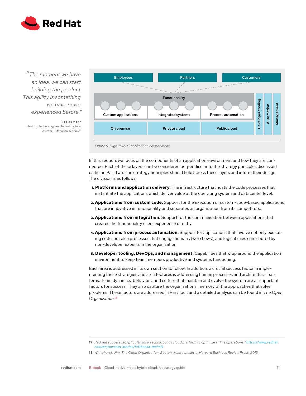

*"The moment we have an idea, we can start building the product. This agility is something we have never experienced before."*

**Tobias Mohr** Head of Technology and Infrastructure, Aviatar, Lufthansa Technik<sup>t</sup>



*Figure 5. High-level IT application environment*

In this section, we focus on the components of an application environment and how they are connected. Each of these layers can be considered perpendicular to the strategy principles discussed earlier in Part two. The strategy principles should hold across these layers and inform their design. The division is as follows:

- **1. Platforms and application delivery.** The infrastructure that hosts the code processes that instantiate the applications which deliver value at the operating system and datacenter level.
- **2. Applications from custom code.** Support for the execution of custom-code-based applications that are innovative in functionality and separates an organization from its competitors.
- **3. Applications from integration.** Support for the communication between applications that creates the functionality users experience directly.
- **4. Applications from process automation.** Support for applications that involve not only executing code, but also processes that engage humans (workflows), and logical rules contributed by non-developer experts in the organization.
- **5. Developer tooling, DevOps, and management.** Capabilities that wrap around the application environment to keep team members productive and systems functioning.

Each area is addressed in its own section to follow. In addition, a crucial success factor in implementing these strategies and architectures is addressing human processes and architectural patterns. Team dynamics, behaviors, and culture that maintain and evolve the system are all important factors for success. They also capture the organizational memory of the approaches that solve problems. These factors are addressed in Part four, and a detailed analysis can be found in *The Open Organization*. 18

**<sup>17</sup>** *Red Hat success story, "Lufthansa Technik builds cloud platform to optimize airline operations." [https://www.redhat.](https://www.redhat.com/en/success-stories/lufthansa-technik) [com/en/success-stories/lufthansa-technik](https://www.redhat.com/en/success-stories/lufthansa-technik)*

**<sup>18</sup>** *Whitehurst, Jim, The Open Organization, Boston, Massachusetts: Harvard Business Review Press, 2015.*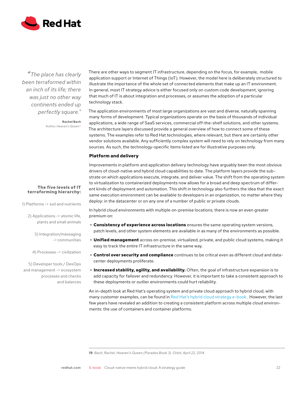<span id="page-22-0"></span>

*"The place has clearly been terraformed within an inch of its life; there was just no other way continents ended up perfectly square."*

> **Rachel Bach** Author, *Heaven's Queen19*

#### **The five levels of IT terraforming hierarchy:**

1) Platforms -> soil and nutrients

2) Applications -> atomic life, plants and small animals

> 3) Integration/messaging -> communities

4) Processes -> civilization

5) Developer tools / DevOps and management -> ecosystem processes and checks and balances

There are other ways to segment IT infrastructure, depending on the focus, for example, mobile application support or Internet of Things (IoT). However, the model here is deliberately structured to illustrate the importance of the whole set of connected elements that make up an IT environment. In general, most IT strategy advice is either focused only on custom code development, ignoring that much of IT is about integration and processes, or assumes the adoption of a particular technology stack.

The application environments of most large organizations are vast and diverse, naturally spanning many forms of development. Typical organizations operate on the basis of thousands of individual applications, a wide range of SaaS services, commercial off-the-shelf solutions, and other systems. The architecture layers discussed provide a general overview of how to connect some of these systems. The examples refer to Red Hat technologies, where relevant, but there are certainly other vendor solutions available. Any sufficiently complex system will need to rely on technology from many sources. As such, the technology-specific items listed are for illustrative purposes only.

### **Platform and delivery**

Improvements in platform and application delivery technology have arguably been the most obvious drivers of cloud-native and hybrid cloud capabilities to date. The platform layers provide the substrate on which applications execute, integrate, and deliver value. The shift from the operating system to virtualization to containerized deployments now allows for a broad and deep spectrum of different kinds of deployment and automation. This shift in technology also furthers the idea that the exact same execution environment can be available to developers in an organization, no matter where they deploy: in the datacenter or on any one of a number of public or private clouds.

In hybrid cloud environments with multiple on-premise locations, there is now an even greater premium on:

- **• Consistency of experience across locations** ensures the same operating system versions, patch levels, and other system elements are available in as many of the environments as possible.
- **• Unified management** across on-premise, virtualized, private, and public cloud systems, making it easy to track the entire IT infrastructure in the same way.
- **• Control over security and compliance** continues to be critical even as different cloud and datacenter deployments proliferate.
- **• Increased stability, agility, and availability.** Often, the goal of infrastructure expansion is to add capacity for failover and redundancy. However, it is important to take a consistent approach to these deployments or outlier environments could hurt reliability.

An in-depth look at Red Hat's operating system and private cloud approach to hybrid cloud, with many customer examples, can be found in [Red Hat's hybrid cloud strategy e-book](https://www.redhat.com/en/engage/hybrid-cloud-strategy-20190426). However, the last few years have revealed an addition to creating a consistent platform across multiple cloud environments: the use of containers and container platforms.

**19** *Bach, Rachel. Heaven's Queen (Paradox Book 3). Orbit, April 22, 2014.*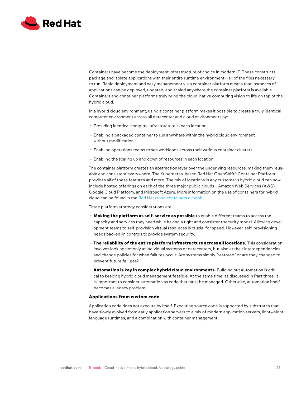<span id="page-23-0"></span>

Containers have become the deployment infrastructure of choice in modern IT. These constructs package and isolate applications with their entire runtime environment — all of the files necessary to run. Rapid deployment and easy management via a container platform means that instances of applications can be deployed, updated, and scaled anywhere the container platform is available. Containers and container platforms truly bring the cloud-native computing vision to life on top of the hybrid cloud.

In a hybrid cloud environment, using a container platform makes it possible to create a truly identical computer environment across all datacenter and cloud environments by:

- **•** Providing identical compute infrastructure in each location.
- **•** Enabling a packaged container to run anywhere within the hybrid cloud environment without modification.
- **•** Enabling operations teams to see workloads across their various container clusters.
- **•** Enabling the scaling up and down of resources in each location.

The container platform creates an abstraction layer over the underlying resources, making them reusable and consistent everywhere. The Kubernetes-based Red Hat OpenShift® Container Platform provides all of these features and more. The mix of locations in any customer's hybrid cloud can now include hosted offerings on each of the three major public clouds — Amazon Web Services (AWS), Google Cloud Platform, and Microsoft Azure. More information on the use of containers for hybrid cloud can be found in the [Red Hat cloud containers e-book.](https://www.redhat.com/en/engage/hybrid-cloud-containers-s-201904260408)

Three platform strategy considerations are:

- **• Making the platform as self-service as possible** to enable different teams to access the capacity and services they need while having a tight and consistent security model. Allowing development teams to self-provision virtual resources is crucial for speed. However, self-provisioning needs backed-in controls to provide system security.
- **• The reliability of the entire platform infrastructure across all locations.** This consideration involves looking not only at individual systems or datacenters, but also at their interdependencies and change policies for when failures occur: Are systems simply "restored" or are they changed to prevent future failures?
- **• Automation is key in complex hybrid cloud environments.** Building out automation is critical to keeping hybrid cloud management feasible. At the same time, as discussed in Part three, it is important to consider automation as code that must be managed. Otherwise, automation itself becomes a legacy problem.

#### **Applications from custom code**

Application code does not execute by itself. Executing source code is supported by substrates that have slowly evolved from early application servers to a mix of modern application servers, lightweight language runtimes, and a combination with container management.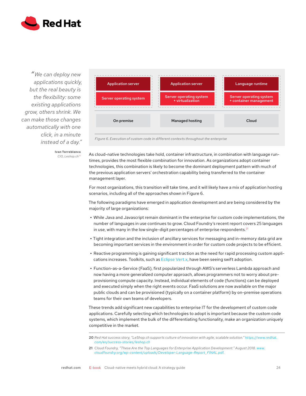

*" We can deploy new applications quickly, but the real beauty is the flexibility: some existing applications grow, others shrink. We can make those changes automatically with one click, in a minute instead of a day."*



**Ivan Torreblanca** *CIO, Leshop.ch20*

*Figure 6. Execution of custom code in different contexts throughout the enterprise*

As cloud-native technologies take hold, container infrastructure, in combination with language runtimes, provides the most flexible combination for innovation. As organizations adopt container technologies, this combination is likely to become the dominant deployment pattern with much of the previous application servers' orchestration capability being transferred to the container management layer.

For most organizations, this transition will take time, and it will likely have a mix of application hosting scenarios, including all of the approaches shown in Figure 6.

The following paradigms have emerged in application development and are being considered by the majority of large organizations:

- **•** While Java and Javascript remain dominant in the enterprise for custom code implementations, the number of languages in use continues to grow. Cloud Foundry's recent report covers 25 languages in use, with many in the low single-digit percentages of enterprise respondents.<sup>21</sup>
- **•** Tight integration and the inclusion of ancillary services for messaging and in-memory data grid are becoming important services in the environment in order for custom code projects to be efficient.
- **•** Reactive programming is gaining significant traction as the need for rapid processing custom applications increases. Toolkits, such as [Eclipse Vert.x](http://vertx.io/), have been seeing swift adoption.
- **•** Function-as-a-Service (FaaS), first popularized through AWS's serverless Lambda approach and now having a more generalized computer approach, allows programmers not to worry about preprovisioning compute capacity. Instead, individual elements of code (functions) can be deployed and executed simply when the right events occur. FaaS solutions are now available on the major public clouds and can be provisioned (typically on a container platform) by on-premise operations teams for their own teams of developers.

These trends add significant new capabilities to enterprise IT for the development of custom code applications. Carefully selecting which technologies to adopt is important because the custom code systems, which implement the bulk of the differentiating functionality, make an organization uniquely competitive in the market.

**<sup>20</sup>** *Red Hat success story, "LeShop.ch supports culture of innovation with agile, scalable solution." [https://www.redhat.](https://www.redhat.com/en/success-stories/leshop.ch) [com/en/success-stories/leshop.ch](https://www.redhat.com/en/success-stories/leshop.ch)*

**<sup>21</sup>** *Cloud Foundry, "These Are the Top Languages for Enterprise Application Development." August 2018. [www.](http://www.cloudfoundry.org/wp-content/uploads/Developer-Language-Report_FINAL.pdf) [cloudfoundry.org/wp-content/uploads/Developer-Language-Report\\_FINAL.pdf.](http://www.cloudfoundry.org/wp-content/uploads/Developer-Language-Report_FINAL.pdf)*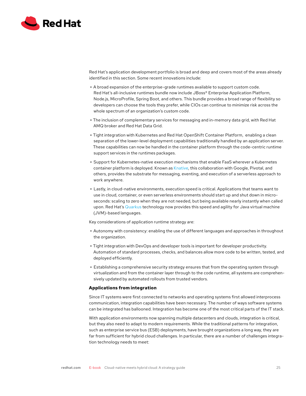<span id="page-25-0"></span>

Red Hat's application development portfolio is broad and deep and covers most of the areas already identified in this section. Some recent innovations include:

- **•** A broad expansion of the enterprise-grade runtimes available to support custom code. Red Hat's all-inclusive runtimes bundle now include JBoss® Enterprise Application Platform, Node.js, MicroProfile, Spring Boot, and others. This bundle provides a broad range of flexibility so developers can choose the tools they prefer, while CIOs can continue to minimize risk across the whole spectrum of an organization's custom code.
- **•** The inclusion of complementary services for messaging and in-memory data grid, with Red Hat AMQ broker and Red Hat Data Grid.
- **•** Tight integration with Kubernetes and Red Hat OpenShift Container Platform, enabling a clean separation of the lower-level deployment capabilities traditionally handled by an application server. These capabilities can now be handled in the container platform through the code-centric runtime support services in the runtimes packages.
- **•** Support for Kubernetes-native execution mechanisms that enable FaaS wherever a Kubernetes container platform is deployed. Known as [Knative,](https://github.com/knative) this collaboration with Google, Pivotal, and others, provides the substrate for messaging, eventing, and execution of a serverless approach to work anywhere.
- **•** Lastly, in cloud-native environments, execution speed is critical. Applications that teams want to use in cloud, container, or even serverless environments should start up and shut down in microseconds: scaling to zero when they are not needed, but being available nearly instantly when called upon. Red Hat's [Quarkus](https://quarkus.io/.) technology now provides this speed and agility for Java virtual machine (JVM)-based languages.

Key considerations of application runtime strategy are:

- **•** Autonomy with consistency: enabling the use of different languages and approaches in throughout the organization.
- **•** Tight integration with DevOps and developer tools is important for developer productivity. Automation of standard processes, checks, and balances allow more code to be written, tested, and deployed efficiently.
- **•** Establishing a comprehensive security strategy ensures that from the operating system through virtualization and from the container layer through to the code runtime, all systems are comprehensively updated by automated rollouts from trusted vendors.

#### **Applications from integration**

Since IT systems were first connected to networks and operating systems first allowed interprocess communication, integration capabilities have been necessary. The number of ways software systems can be integrated has ballooned. Integration has become one of the most critical parts of the IT stack.

With application environments now spanning multiple datacenters and clouds, integration is critical, but they also need to adapt to modern requirements. While the traditional patterns for integration, such as enterprise service bus (ESB) deployments, have brought organizations a long way, they are far from sufficient for hybrid cloud challenges. In particular, there are a number of challenges integration technology needs to meet: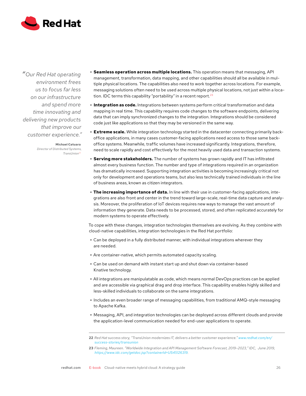

*"Our Red Hat operating environment frees us to focus far less on our infrastructure and spend more time innovating and delivering new products that improve our customer experience."*

> **Michael Catuara** *Director of Distributed Systems, TransUnion22*

- **• Seamless operation across multiple locations.** This operation means that messaging, API management, transformation, data mapping, and other capabilities should all be available in multiple physical locations. The capabilities also need to work together across locations. For example, messaging solutions often need to be used across multiple physical locations, not just within a location. IDC terms this capability "portability" in a recent report.<sup>23</sup>
- **• Integration as code.** Integrations between systems perform critical transformation and data mapping in real time. This capability requires code changes to the software endpoints, delivering data that can imply synchronized changes to the integration. Integrations should be considered code just like applications so that they may be versioned in the same way.
- **• Extreme scale.** While integration technology started in the datacenter connecting primarily backoffice applications, in many cases customer-facing applications need access to those same backoffice systems. Meanwhile, traffic volumes have increased significantly. Integrations, therefore, need to scale rapidly and cost effectively for the most heavily used data and transaction systems.
- **• Serving more stakeholders.** The number of systems has grown rapidly and IT has infiltrated almost every business function. The number and type of integrations required in an organization has dramatically increased. Supporting integration activities is becoming increasingly critical not only for development and operations teams, but also less technically trained individuals in the line of business areas, known as citizen integrators.
- **• The increasing importance of data.** In line with their use in customer-facing applications, integrations are also front and center in the trend toward large-scale, real-time data capture and analysis. Moreover, the proliferation of IoT devices requires new ways to manage the vast amount of information they generate. Data needs to be processed, stored, and often replicated accurately for modern systems to operate effectively.

To cope with these changes, integration technologies themselves are evolving. As they combine with cloud-native capabilities, integration technologies in the Red Hat portfolio:

- **•** Can be deployed in a fully distributed manner, with individual integrations wherever they are needed.
- **•** Are container-native, which permits automated capacity scaling.
- **•** Can be used on demand with instant start up and shut down via container-based Knative technology.
- **•** All integrations are manipulatable as code, which means normal DevOps practices can be applied and are accessible via graphical drag and drop interface. This capability enables highly skilled and less-skilled individuals to collaborate on the same integrations.
- **•** Includes an even broader range of messaging capabilities, from traditional AMQ-style messaging to Apache Kafka.
- **•** Messaging, API, and integration technologies can be deployed across different clouds and provide the application-level communication needed for end-user applications to operate.

**<sup>22</sup>** *Red Hat success story, "TransUnion modernizes IT, delivers a better customer experience." [www.redhat.com/en/](http://www.redhat.com/en/success-stories/transunion) [success-stories/transunion](http://www.redhat.com/en/success-stories/transunion)*

**<sup>23</sup>** *Fleming, Maureen. "Worldwide Integration and API Management Software Forecast, 2019–2023," IDC, June 2019, [https://www.idc.com/getdoc.jsp?containerId=US45126319.](https://www.idc.com/getdoc.jsp?containerId=US45126319)*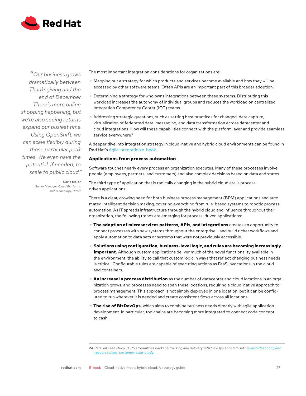<span id="page-27-0"></span>

*"Our business grows dramatically between Thanksgiving and the end of December. There's more online shopping happening, but we're also seeing returns expand our busiest time. Using OpenShift, we can scale flexibly during those particular peak times. We even have the potential, if needed, to scale to public cloud."* The most important integration considerations for organizations are:

- **•** Mapping out a strategy for which products and services become available and how they will be accessed by other software teams. Often APIs are an important part of this broader adoption.
- **•** Determining a strategy for who owns integrations between these systems. Distributing this workload increases the autonomy of individual groups and reduces the workload on centralized Integration Competency Center (ICC) teams.
- **•** Addressing strategic questions, such as setting best practices for changed-data capture, virtualization of federated data, messaging, and data transformation across datacenter and cloud integrations. How will these capabilities connect with the platform layer and provide seamless service everywhere?

A deeper dive into integration strategy in cloud-native and hybrid cloud environments can be found in Red Hat's [Agile integration e-book](https://www.redhat.com/en/resources/mi-agile-integration-ebook).

#### **Applications from process automation**

Software touches nearly every process an organization executes. Many of these processes involve people (employees, partners, and customers) and also complex decisions based on data and states.

The third type of application that is radically changing in the hybrid cloud era is processdriven applications.

There is a clear, growing need for both business process management (BPM) applications and automated intelligent decision making, covering everything from rule-based systems to robotic process automation. As IT spreads infrastructure through the hybrid cloud and influence throughout their organization, the following trends are emerging for process-driven applications:

- **• The adoption of microservices patterns, APIs, and integrations** creates an opportunity to connect processes with new systems throughout the enterprise – and build richer workflows and apply automation to data sets or systems that were not previously accessible.
- **• Solutions using configuration, business-level logic, and rules are becoming increasingly important.** Although custom applications deliver much of the novel functionality available in the environment, the ability to call that custom logic in ways that reflect changing business needs is critical. Configurable rules are capable of executing actions as FaaS invocations in the cloud and containers.
- **• An increase in process distribution** as the number of datacenter and cloud locations in an organization grows, and processes need to span these locations, requiring a cloud-native approach to process management. This approach is not simply deployed in one location, but it can be configured to run wherever it is needed and create consistent flows across all locations.
- **• The rise of BizDevOps,** which aims to combine business needs directly with agile application development. In particular, toolchains are becoming more integrated to connect code concept to cash.

[redhat.com](http://linkedin.com/company/red) E-book Cloud-native meets hybrid cloud: A strategy guide 27

**Carla Maier** *Senior Manager, Cloud Platforms and Technology, UPS24*

**<sup>24</sup>** *Red Hat case study, "UPS streamlines package tracking and delivery with DevOps and Red Hat." [www.redhat.com/en/](http://www.redhat.com/en/resources/ups-customer-case-study) [resources/ups-customer-case-study](http://www.redhat.com/en/resources/ups-customer-case-study)*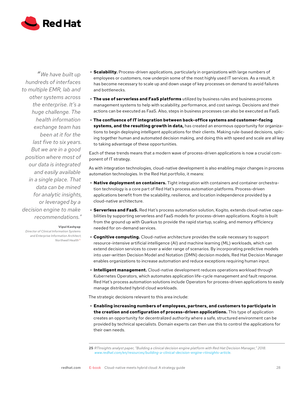

*" We have built up hundreds of interfaces to multiple EMR, lab and other systems across the enterprise. It's a huge challenge. The health information exchange team has been at it for the last five to six years. But we are in a good position where most of our data is integrated and easily available in a single place. That data can be mined for analytic insights, or leveraged by a decision engine to make recommendations."*

#### **Vipul Kashyap**

*Director of Clinical Information Systems and Enterprise Information Architect, Northwell Health25*

- **• Scalability.** Process-driven applications, particularly in organizations with large numbers of employees or customers, now underpin some of the most highly used IT services. As a result, it has become necessary to scale up and down usage of key processes on demand to avoid failures and bottlenecks.
- **• The use of serverless and FaaS platforms** utilized by business rules and business process management systems to help with scalability, performance, and cost savings. Decisions and their actions can be executed as FaaS. Also, steps in business processes can also be executed as FaaS.
- **• The confluence of IT integration between back-office systems and customer-facing systems, and the resulting growth in data,** has created an enormous opportunity for organizations to begin deploying intelligent applications for their clients. Making rule-based decisions, splicing together human and automated decision making, and doing this with speed and scale are all key to taking advantage of these opportunities.

Each of these trends means that a modern wave of process-driven applications is now a crucial component of IT strategy.

As with integration technologies, cloud-native development is also enabling major changes in process automation technologies. In the Red Hat portfolio, it means:

- **• Native deployment on containers.** Tight integration with containers and container orchestration technology is a core part of Red Hat's process automation platforms. Process-driven applications benefit from the scalability, resilience, and location independence provided by a cloud-native architecture.
- **• Serverless and FaaS.** Red Hat's process automation solution, Kogito, extends cloud-native capabilities by supporting serverless and FaaS models for process-driven applications. Kogito is built from the ground up with Quarkus to provide the rapid startup, scaling, and memory efficiency needed for on-demand services.
- **• Cognitive computing.** Cloud-native architecture provides the scale necessary to support resource-intensive artificial intelligence (AI) and machine learning (ML) workloads, which can extend decision services to cover a wider range of scenarios. By incorporating predictive models into user-written Decision Model and Notation (DMN) decision models, Red Hat Decision Manager enables organizations to increase automation and reduce exceptions requiring human input.
- **• Intelligent management.** Cloud-native development reduces operations workload through Kubernetes Operators, which automates application life-cycle management and fault response. Red Hat's process automation solutions include Operators for process-driven applications to easily manage distributed hybrid cloud workloads.

The strategic decisions relevant to this area include:

**• Enabling increasing numbers of employees, partners, and customers to participate in the creation and configuration of process-driven applications.** This type of application creates an opportunity for decentralized authority where a safe, structured environment can be provided by technical specialists. Domain experts can then use this to control the applications for their own needs.

**<sup>25</sup>** *RTInsights analyst paper, "Building a clinical decision engine platform with Red Hat Decision Manager," 2018. [www.redhat.com/en/resources/building-a-clinical-decision-engine-rtinsights-article](http://www.redhat.com/en/resources/building-a-clinical-decision-engine-rtinsights-article).*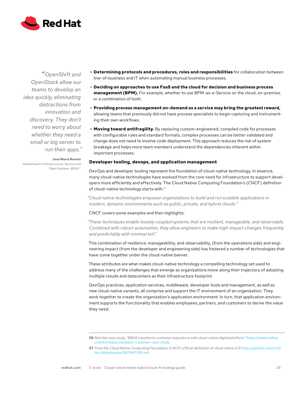<span id="page-29-0"></span>

*"OpenShift and OpenStack allow our teams to develop an idea quickly, eliminating distractions from innovation and discovery. They don't need to worry about whether they need a small or big server to run their apps."*

**José María Ruesta** *Global Head of Infrastructure, Service and Open Systems, BBVA26*

- **• Determining protocols and procedures, roles and responsibilities** for collaboration between line-of-business and IT when automating manual business processes.
- **• Deciding on approaches to use FaaS and the cloud for decision and business process management (BPM).** For example, whether to use BPM-as-a-Service on the cloud, on-premise, or a combination of both.
- **• Providing process management on-demand as a service may bring the greatest reward,** allowing teams that previously did not have process specialists to begin capturing and instrumenting their own workflows.
- **• Moving toward antifragility.** By replacing custom-engineered, compiled code for processes with configurable rules and standard formats, complex processes can be better validated and change does not need to involve code deployment. This approach reduces the risk of system breakage and helps more team members understand the dependencies inherent within important processes.

#### **Developer tooling, devops, and application management**

DevOps and developer tooling represent the foundation of cloud-native technology. In essence, many cloud-native technologies have evolved from the core need for infrastructure to support developers more efficiently and effectively. The Cloud Native Computing Foundation's (CNCF) definition of cloud-native technology starts with:<sup>27</sup>

*"Cloud native technologies empower organizations to build and run scalable applications in modern, dynamic environments such as public, private, and hybrid clouds."*

#### CNCF covers some examples and then highlights:

*"These techniques enable loosely coupled systems that are resilient, manageable, and observable. Combined with robust automation, they allow engineers to make high-impact changes frequently and predictably with minimal toil."*

This combination of resilience, manageability, and observability, (from the operations side) and engineering impact (from the developer and engineering side) has fostered a number of technologies that have come together under the cloud-native banner.

These attributes are what makes cloud-native technology a compelling technology set used to address many of the challenges that emerge as organizations move along their trajectory of adopting multiple clouds and datacenters as their infrastructure footprint.

DevOps practices, application services, middleware, developer tools and management, as well as new cloud-native variants, all comprise and support the IT environment of an organization. They work together to create the organization's application environment. In turn, that application environment supports the functionality that enables employees, partners, and customers to derive the value they need.

**<sup>26</sup>** *Red Hat case study, "BBVA transforms customer experience with cloud-native digital platform." [https://www.redhat.](https://www.redhat.com/en/resources/bbva-customer-case-study) [com/en/resources/bbva-customer-case-study](https://www.redhat.com/en/resources/bbva-customer-case-study)*

**<sup>27</sup>** *From the Cloud Native Computing Foundation (CNCF) official definition of cloud native v1.0 [https://github.com/cncf/](https://github.com/cncf/toc/blob/master/DEFINITION.md) [toc/blob/master/DEFINITION.md](https://github.com/cncf/toc/blob/master/DEFINITION.md)*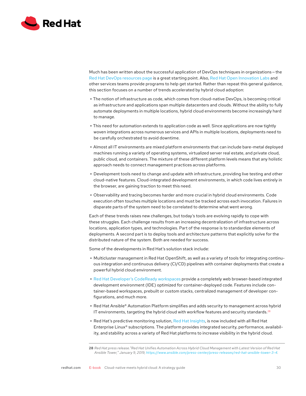

Much has been written about the successful application of DevOps techniques in organizations – the [Red Hat DevOps resources page](https://www.redhat.com/en/topics/devops) is a great starting point. Also, [Red Hat Open Innovation Labs](https://www.redhat.com/en/services/consulting/open-innovation-labs) and other services teams provide programs to help get started. Rather than repeat this general guidance, this section focuses on a number of trends accelerated by hybrid cloud adoption:

- **•** The notion of infrastructure as code, which comes from cloud-native DevOps, is becoming critical as infrastructure and applications span multiple datacenters and clouds. Without the ability to fully automate deployments in multiple locations, hybrid cloud environments become increasingly hard to manage.
- **•** This need for automation extends to application code as well. Since applications are now tightly woven integrations across numerous services and APIs in multiple locations, deployments need to be carefully orchestrated to avoid downtime.
- **•** Almost all IT environments are mixed platform environments that can include bare-metal deployed machines running a variety of operating systems, virtualized server real estate, and private cloud, public cloud, and containers. The mixture of these different platform levels means that any holistic approach needs to connect management practices across platforms.
- **•** Development tools need to change and update with infrastructure, providing live testing and other cloud-native features. Cloud-integrated development environments, in which code lives entirely in the browser, are gaining traction to meet this need.
- **•** Observability and tracing becomes harder and more crucial in hybrid cloud environments. Code execution often touches multiple locations and must be tracked across each invocation. Failures in disparate parts of the system need to be correlated to determine what went wrong.

Each of these trends raises new challenges, but today's tools are evolving rapidly to cope with these struggles. Each challenge results from an increasing decentralization of infrastructure across locations, application types, and technologies. Part of the response is to standardize elements of deployments. A second part is to deploy tools and architecture patterns that explicitly solve for the distributed nature of the system. Both are needed for success.

Some of the developments in Red Hat's solution stack include:

- **•** Multicluster management in Red Hat OpenShift, as well as a variety of tools for integrating continuous integration and continuous delivery (CI/CD) pipelines with container deployments that create a powerful hybrid cloud environment.
- **•** [Red Hat Developer's CodeReady workspaces](https://developers.redhat.com/products/codeready-workspaces/overview) provide a completely web browser-based integrated development environment (IDE) optimized for container-deployed code. Features include container-based workspaces, prebuilt or custom stacks, centralized management of developer configurations, and much more.
- **•** Red Hat Ansible® Automation Platform simplifies and adds security to management across hybrid IT environments, targeting the hybrid cloud with workflow features and security standards.<sup>28</sup>
- **•** Red Hat's predictive monitoring solution, [Red Hat Insights,](https://www.redhat.com/en/technologies/management/insights) is now included with all Red Hat Enterprise Linux® subscriptions. The platform provides integrated security, performance, availability, and stability across a variety of Red Hat platforms to increase visibility in the hybrid cloud.

**<sup>28</sup>** *Red Hat press release."Red Hat Unifies Automation Across Hybrid Cloud Management with Latest Version of Red Hat Ansible Tower," January 9, 2019, <https://www.ansible.com/press-center/press-releases/red-hat-ansible-tower-3-4>.*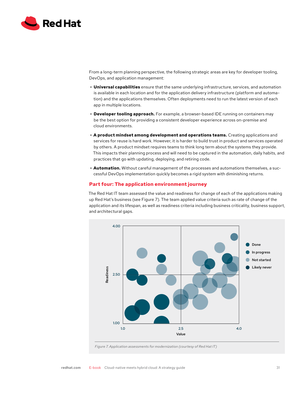<span id="page-31-0"></span>

From a long-term planning perspective, the following strategic areas are key for developer tooling, DevOps, and application management:

- **• Universal capabilities** ensure that the same underlying infrastructure, services, and automation is available in each location and for the application delivery infrastructure (platform and automation) and the applications themselves. Often deployments need to run the latest version of each app in multiple locations.
- **• Developer tooling approach.** For example, a browser-based IDE running on containers may be the best option for providing a consistent developer experience across on-premise and cloud environments.
- **• A product mindset among development and operations teams.** Creating applications and services for reuse is hard work. However, it is harder to build trust in product and services operated by others. A product mindset requires teams to think long term about the systems they provide. This impacts their planning process and will need to be captured in the automation, daily habits, and practices that go with updating, deploying, and retiring code.
- **• Automation.** Without careful management of the processes and automations themselves, a successful DevOps implementation quickly becomes a rigid system with diminishing returns.

## **Part four: The application environment journey**

The Red Hat IT team assessed the value and readiness for change of each of the applications making up Red Hat's business (see Figure 7). The team applied value criteria such as rate of change of the application and its lifespan, as well as readiness criteria including business criticality, business support, and architectural gaps.



*Figure 7. Application assessments for modernization (courtesy of Red Hat IT)*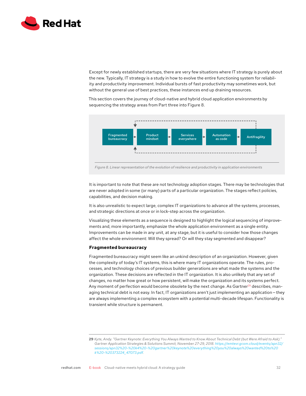<span id="page-32-0"></span>

Except for newly established startups, there are very few situations where IT strategy is purely about the new. Typically, IT strategy is a study in how to evolve the entire functioning system for reliability and productivity improvement. Individual bursts of fast productivity may sometimes work, but without the general use of best practices, these instances end up draining resources.

This section covers the journey of cloud-native and hybrid cloud application environments by sequencing the strategy areas from Part three into Figure 8.



It is important to note that these are not technology adoption stages. There may be technologies that are never adopted in some (or many) parts of a particular organization. The stages reflect policies, capabilities, and decision making.

It is also unrealistic to expect large, complex IT organizations to advance all the systems, processes, and strategic directions at once or in lock-step across the organization.

Visualizing these elements as a sequence is designed to highlight the logical sequencing of improvements and, more importantly, emphasize the whole application environment as a single entity. Improvements can be made in any unit, at any stage, but it is useful to consider how those changes affect the whole environment: Will they spread? Or will they stay segmented and disappear?

#### **Fragmented bureaucracy**

Fragmented bureaucracy might seem like an unkind description of an organization. However, given the complexity of today's IT systems, this is where many IT organizations operate. The rules, processes, and technology choices of previous builder generations are what made the systems and the organization. These decisions are reflected in the IT organization. It is also unlikely that any set of changes, no matter how great or how persistent, will make the organization and its systems perfect. Any moment of perfection would become obsolete by the next change. As Gartner<sup>29</sup> describes, managing technical debt is not easy. In fact, IT organizations aren't just implementing an application – they are always implementing a complex ecosystem with a potential multi-decade lifespan. Functionality is transient while structure is permanent.

**<sup>29</sup>** *Kyte, Andy. "Gartner Keynote: Everything You Always Wanted to Know About Technical Debt (but Were Afraid to Ask)."*  Gartner Application Strategies & Solutions Summit, November 27-29, 2018. *[https://emtevr.gcom.cloud/events/apn32/](https://emtevr.gcom.cloud/events/apn32/sessions/apn32%20-%20k4%20-%20gartner%20keynote%20everything%20you%20always%20wanted%20to%20k%20-%20373224_47073.pdf?Expires=1567034374&Signature=ZxN8ApR5RZZ7tqNITO6Js-g70vdNu~j~HGpCf8RMIV-tveig9z4W5ezq6PfOudKYTXvbGNKVD~n1W3fYu--e3RrwEgdi8icZDDp2w-o3BY3ZU1~Bj-LgsdrlmEOTvYVfq6NciOijlEFNmbvJh54vsJ8Yxa3lmcEGePJdPEs5IB-xicLTfrUx0nSxL1wcyp-7H~pu~ZrlVyTs95L~fehvjVhqCW0MWAwUIhFNlHPxilKiFf6dN3VvI7MijHqNL~M~7Oor0jPHRA9sOjBrINEnGi83LNqhFeabyrrVKU-DguKpMJhx1TYIph~yIjXXmeobGbstqEaD29JV~YuENMqa0w__&Key-Pair-Id=APKAIRZUBGPNMIJG74NA) [sessions/apn32%20-%20k4%20-%20gartner%20keynote%20everything%20you%20always%20wanted%20to%20](https://emtevr.gcom.cloud/events/apn32/sessions/apn32%20-%20k4%20-%20gartner%20keynote%20everything%20you%20always%20wanted%20to%20k%20-%20373224_47073.pdf?Expires=1567034374&Signature=ZxN8ApR5RZZ7tqNITO6Js-g70vdNu~j~HGpCf8RMIV-tveig9z4W5ezq6PfOudKYTXvbGNKVD~n1W3fYu--e3RrwEgdi8icZDDp2w-o3BY3ZU1~Bj-LgsdrlmEOTvYVfq6NciOijlEFNmbvJh54vsJ8Yxa3lmcEGePJdPEs5IB-xicLTfrUx0nSxL1wcyp-7H~pu~ZrlVyTs95L~fehvjVhqCW0MWAwUIhFNlHPxilKiFf6dN3VvI7MijHqNL~M~7Oor0jPHRA9sOjBrINEnGi83LNqhFeabyrrVKU-DguKpMJhx1TYIph~yIjXXmeobGbstqEaD29JV~YuENMqa0w__&Key-Pair-Id=APKAIRZUBGPNMIJG74NA) [k%20-%20373224\\_47073.pdf](https://emtevr.gcom.cloud/events/apn32/sessions/apn32%20-%20k4%20-%20gartner%20keynote%20everything%20you%20always%20wanted%20to%20k%20-%20373224_47073.pdf?Expires=1567034374&Signature=ZxN8ApR5RZZ7tqNITO6Js-g70vdNu~j~HGpCf8RMIV-tveig9z4W5ezq6PfOudKYTXvbGNKVD~n1W3fYu--e3RrwEgdi8icZDDp2w-o3BY3ZU1~Bj-LgsdrlmEOTvYVfq6NciOijlEFNmbvJh54vsJ8Yxa3lmcEGePJdPEs5IB-xicLTfrUx0nSxL1wcyp-7H~pu~ZrlVyTs95L~fehvjVhqCW0MWAwUIhFNlHPxilKiFf6dN3VvI7MijHqNL~M~7Oor0jPHRA9sOjBrINEnGi83LNqhFeabyrrVKU-DguKpMJhx1TYIph~yIjXXmeobGbstqEaD29JV~YuENMqa0w__&Key-Pair-Id=APKAIRZUBGPNMIJG74NA).*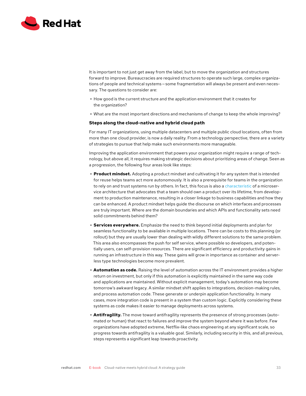<span id="page-33-0"></span>

It is important to not just get away from the label, but to move the organization and structures forward to improve. Bureaucracies are required structures to operate such large, complex organizations of people and technical systems — some fragmentation will always be present and even necessary. The questions to consider are:

- **•** How good is the current structure and the application environment that it creates for the organization?
- **•** What are the most important directions and mechanisms of change to keep the whole improving?

#### **Steps along the cloud-native and hybrid cloud path**

For many IT organizations, using multiple datacenters and multiple public cloud locations, often from more than one cloud provider, is now a daily reality. From a technology perspective, there are a variety of strategies to pursue that help make such environments more manageable.

Improving the application environment that powers your organization might require a range of technology, but above all, it requires making strategic decisions about prioritizing areas of change. Seen as a progression, the following four areas look like steps:

- **• Product mindset.** Adopting a product mindset and cultivating it for any system that is intended for reuse helps teams act more autonomously. It is also a prerequisite for teams in the organization to rely on and trust systems run by others. In fact, this focus is also a [characteristic](https://martinfowler.com/articles/microservices.html#ProductsNotProjects) of a microservice architecture that advocates that a team should own a product over its lifetime, from development to production maintenance, resulting in a closer linkage to business capabilities and how they can be enhanced. A product mindset helps guide the discourse on which interfaces and processes are truly important. Where are the domain boundaries and which APIs and functionality sets need solid commitments behind them?
- **• Services everywhere.** Emphasize the need to think beyond initial deployments and plan for seamless functionality to be available in multiple locations. There can be costs to this planning (or rollout) but they are usually lower than dealing with wildly different solutions to the same problem. This area also encompasses the push for self service, where possible so developers, and potentially users, can self-provision resources. There are significant efficiency and productivity gains in running an infrastructure in this way. These gains will grow in importance as container and serverless type technologies become more prevalent.
- **• Automation as code.** Raising the level of automation across the IT environment provides a higher return on investment, but only if this automation is explicitly maintained in the same way code and applications are maintained. Without explicit management, today's automation may become tomorrow's awkward legacy. A similar mindset shift applies to integrations, decision-making rules, and process automation code. These generate or underpin application functionality. In many cases, more integration code is present in a system than custom logic. Explicitly considering these systems as code makes it easier to manage deployments across systems.
- **• Antifragility.** The move toward antifragility represents the presence of strong processes (automated or human) that react to failures and improve the system beyond where it was before. Few organizations have adopted extreme, Netflix-like chaos engineering at any significant scale, so progress towards antifragility is a valuable goal. Similarly, including security in this, and all previous, steps represents a significant leap towards proactivity.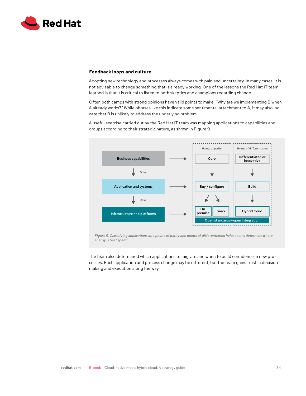<span id="page-34-0"></span>

#### **Feedback loops and culture**

Adopting new technology and processes always comes with pain and uncertainty. In many cases, it is not advisable to change something that is already working. One of the lessons the Red Hat IT team learned is that it is critical to listen to both skeptics and champions regarding change.

Often both camps with strong opinions have valid points to make. "Why are we implementing B when A already works?" While phrases like this indicate some sentimental attachment to A, it may also indicate that B is unlikely to address the underlying problem.

A useful exercise carried out by the Red Hat IT team was mapping applications to capabilities and groups according to their strategic nature, as shown in Figure 9.



*Figure 9. Classifying applications into points of parity and points of differentiation helps teams determine where energy is best spent*

The team also determined which applications to migrate and when to build confidence in new processes. Each application and process change may be different, but the team gains trust in decision making and execution along the way.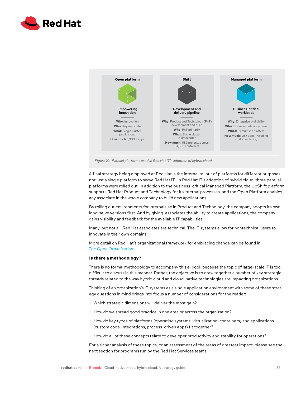<span id="page-35-0"></span>



*Figure 10. Parallel platforms used in Red Hat IT's adoption of hybrid cloud*

A final strategy being employed at Red Hat is the internal rollout of platforms for different purposes, not just a single platform to serve Red Hat IT. In Red Hat IT's adoption of hybrid cloud, three parallel platforms were rolled out. In addition to the business-critical Managed Platform, the UpShift platform supports Red Hat Product and Technology for its internal processes, and the Open Platform enables any associate in the whole company to build new applications.

By rolling out environments for internal use in Product and Technology, the company adopts its own innovative versions first. And by giving associates the ability to create applications, the company gains visibility and feedback for the available IT capabilities.

Many, but not all, Red Hat associates are technical. The IT systems allow for nontechnical users to innovate in their own domains.

More detail on Red Hat's organizational framework for embracing change can be found in *[The Open Organization](https://www.redhat.com/en/explore/the-open-organization-book)*.

#### **Is there a methodology?**

There is no formal methodology to accompany this e-book because the topic of large-scale IT is too difficult to discuss in this manner. Rather, the objective is to draw together a number of key strategic threads related to the way hybrid cloud and cloud-native technologies are impacting organizations.

Thinking of an organization's IT systems as a single application environment with some of these strategy questions in mind brings into focus a number of considerations for the reader:

- **•** Which strategic dimensions will deliver the most gain?
- **•** How do we spread good practice in one area or across the organization?
- **•** How do key types of platforms (operating systems, virtualization, containers) and applications (custom code, integrations, process-driven apps) fit together?
- **•** How do all of these concepts relate to developer productivity and stability for operations?

For a richer analysis of these topics, or an assessment of the areas of greatest impact, please see the next section for programs run by the Red Hat Services teams.